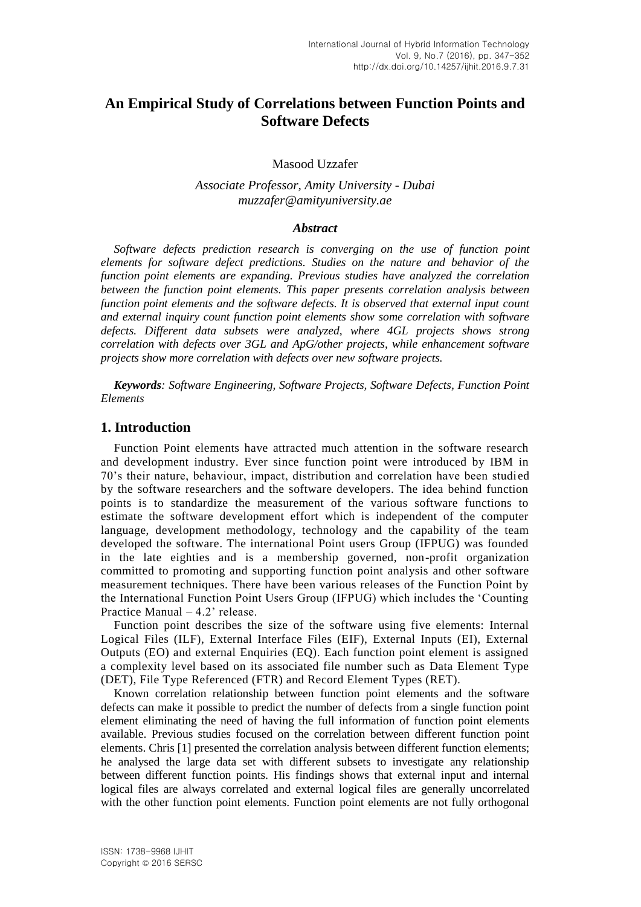# **An Empirical Study of Correlations between Function Points and Software Defects**

Masood Uzzafer

*Associate Professor, Amity University - Dubai muzzafer@amityuniversity.ae*

#### *Abstract*

*Software defects prediction research is converging on the use of function point elements for software defect predictions. Studies on the nature and behavior of the function point elements are expanding. Previous studies have analyzed the correlation between the function point elements. This paper presents correlation analysis between function point elements and the software defects. It is observed that external input count and external inquiry count function point elements show some correlation with software defects. Different data subsets were analyzed, where 4GL projects shows strong correlation with defects over 3GL and ApG/other projects, while enhancement software projects show more correlation with defects over new software projects.*

*Keywords: Software Engineering, Software Projects, Software Defects, Function Point Elements*

#### **1. Introduction**

Function Point elements have attracted much attention in the software research and development industry. Ever since function point were introduced by IBM in 70's their nature, behaviour, impact, distribution and correlation have been studied by the software researchers and the software developers. The idea behind function points is to standardize the measurement of the various software functions to estimate the software development effort which is independent of the computer language, development methodology, technology and the capability of the team developed the software. The international Point users Group (IFPUG) was founded in the late eighties and is a membership governed, non-profit organization committed to promoting and supporting function point analysis and other software measurement techniques. There have been various releases of the Function Point by the International Function Point Users Group (IFPUG) which includes the 'Counting Practice Manual – 4.2' release.

Function point describes the size of the software using five elements: Internal Logical Files (ILF), External Interface Files (EIF), External Inputs (EI), External Outputs (EO) and external Enquiries (EQ). Each function point element is assigned a complexity level based on its associated file number such as Data Element Type (DET), File Type Referenced (FTR) and Record Element Types (RET).

Known correlation relationship between function point elements and the software defects can make it possible to predict the number of defects from a single function point element eliminating the need of having the full information of function point elements available. Previous studies focused on the correlation between different function point elements. Chris [1] presented the correlation analysis between different function elements; he analysed the large data set with different subsets to investigate any relationship between different function points. His findings shows that external input and internal logical files are always correlated and external logical files are generally uncorrelated with the other function point elements. Function point elements are not fully orthogonal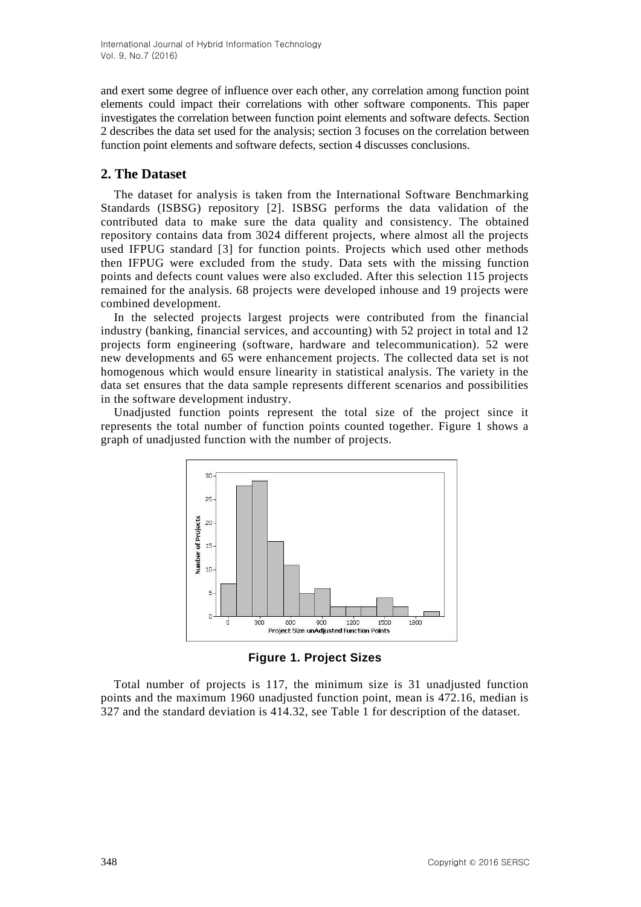and exert some degree of influence over each other, any correlation among function point elements could impact their correlations with other software components. This paper investigates the correlation between function point elements and software defects. Section 2 describes the data set used for the analysis; section 3 focuses on the correlation between function point elements and software defects, section 4 discusses conclusions.

### **2. The Dataset**

The dataset for analysis is taken from the International Software Benchmarking Standards (ISBSG) repository [2]. ISBSG performs the data validation of the contributed data to make sure the data quality and consistency. The obtained repository contains data from 3024 different projects, where almost all the projects used IFPUG standard [3] for function points. Projects which used other methods then IFPUG were excluded from the study. Data sets with the missing function points and defects count values were also excluded. After this selection 115 projects remained for the analysis. 68 projects were developed inhouse and 19 projects were combined development.

In the selected projects largest projects were contributed from the financial industry (banking, financial services, and accounting) with 52 project in total and 12 projects form engineering (software, hardware and telecommunication). 52 were new developments and 65 were enhancement projects. The collected data set is not homogenous which would ensure linearity in statistical analysis. The variety in the data set ensures that the data sample represents different scenarios and possibilities in the software development industry.

Unadjusted function points represent the total size of the project since it represents the total number of function points counted together. Figure 1 shows a graph of unadjusted function with the number of projects.



**Figure 1. Project Sizes**

Total number of projects is 117, the minimum size is 31 unadjusted function points and the maximum 1960 unadjusted function point, mean is 472.16, median is 327 and the standard deviation is 414.32, see Table 1 for description of the dataset.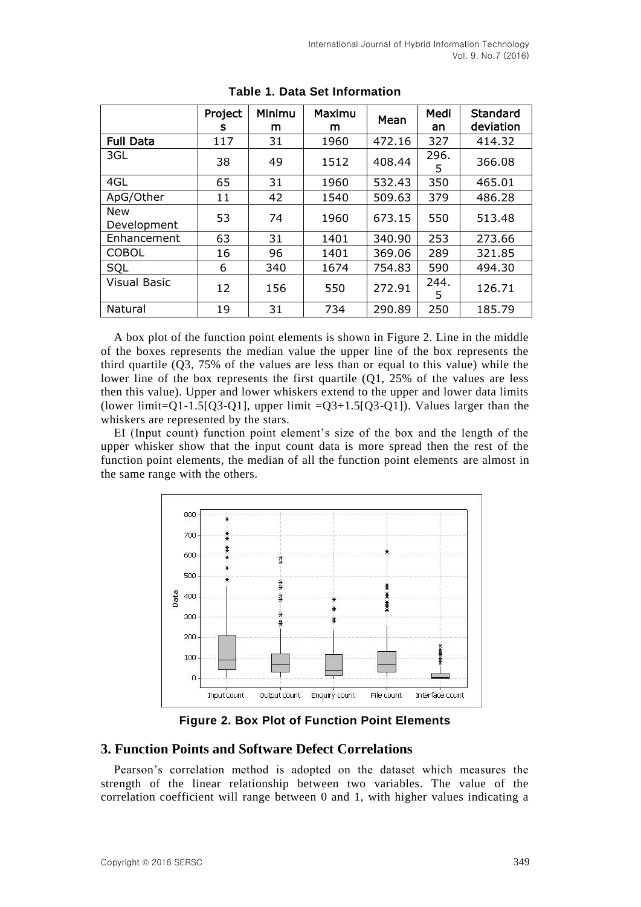|                           | Project<br>s | Minimu<br>m | Maximu<br>m | Mean   | Medi<br>an | <b>Standard</b><br>deviation |
|---------------------------|--------------|-------------|-------------|--------|------------|------------------------------|
| <b>Full Data</b>          | 117          | 31          | 1960        | 472.16 | 327        | 414.32                       |
| 3GL                       | 38           | 49          | 1512        | 408.44 | 296.<br>5  | 366.08                       |
| 4GL                       | 65           | 31          | 1960        | 532.43 | 350        | 465.01                       |
| ApG/Other                 | 11           | 42          | 1540        | 509.63 | 379        | 486.28                       |
| <b>New</b><br>Development | 53           | 74          | 1960        | 673.15 | 550        | 513.48                       |
| Enhancement               | 63           | 31          | 1401        | 340.90 | 253        | 273.66                       |
| <b>COBOL</b>              | 16           | 96          | 1401        | 369.06 | 289        | 321.85                       |
| SQL                       | 6            | 340         | 1674        | 754.83 | 590        | 494.30                       |
| <b>Visual Basic</b>       | 12           | 156         | 550         | 272.91 | 244.<br>5  | 126.71                       |
| Natural                   | 19           | 31          | 734         | 290.89 | 250        | 185.79                       |

**Table 1. Data Set Information**

A box plot of the function point elements is shown in Figure 2. Line in the middle of the boxes represents the median value the upper line of the box represents the third quartile (Q3, 75% of the values are less than or equal to this value) while the lower line of the box represents the first quartile (Q1, 25% of the values are less then this value). Upper and lower whiskers extend to the upper and lower data limits (lower limit=Q1-1.5[Q3-Q1], upper limit =Q3+1.5[Q3-Q1]). Values larger than the whiskers are represented by the stars.

EI (Input count) function point element's size of the box and the length of the upper whisker show that the input count data is more spread then the rest of the function point elements, the median of all the function point elements are almost in the same range with the others.



**Figure 2. Box Plot of Function Point Elements**

### **3. Function Points and Software Defect Correlations**

Pearson's correlation method is adopted on the dataset which measures the strength of the linear relationship between two variables. The value of the correlation coefficient will range between 0 and 1, with higher values indicating a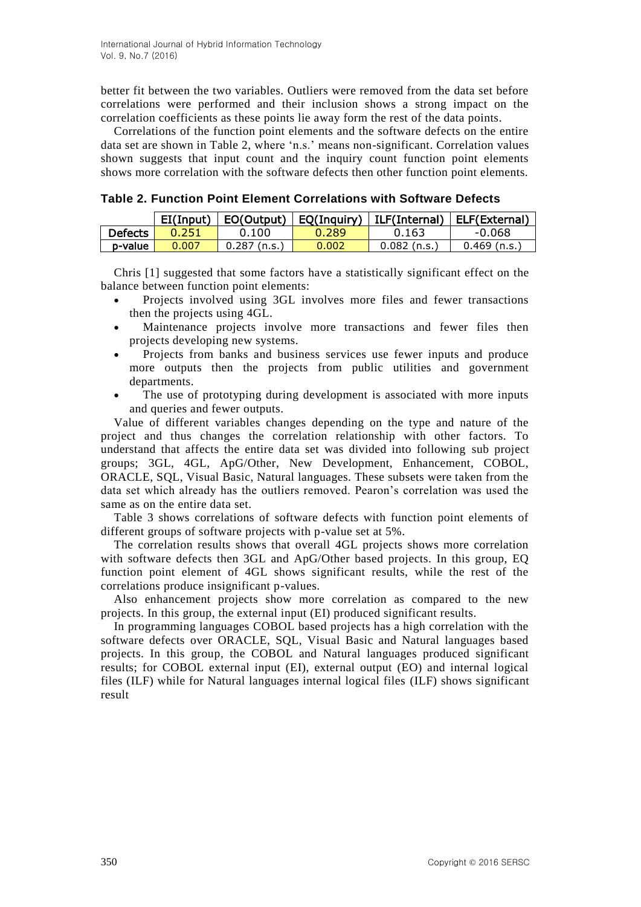better fit between the two variables. Outliers were removed from the data set before correlations were performed and their inclusion shows a strong impact on the correlation coefficients as these points lie away form the rest of the data points.

Correlations of the function point elements and the software defects on the entire data set are shown in Table 2, where 'n.s.' means non-significant. Correlation values shown suggests that input count and the inquiry count function point elements shows more correlation with the software defects then other function point elements.

**Table 2. Function Point Element Correlations with Software Defects**

|                | EI(Input) |               | EO(Output)   EQ(Inquiry) | ILF(Internal) | ELF(External) |
|----------------|-----------|---------------|--------------------------|---------------|---------------|
| <b>Defects</b> | 0.251     | 0.100         | 0.289                    | 0.163         | -0.068        |
| p-value        | 0.007     | 0.287 (n.s. , | 0.002                    | .0.082 (n.s.  | 0.469 (n.s.   |

Chris [1] suggested that some factors have a statistically significant effect on the balance between function point elements:

- Projects involved using 3GL involves more files and fewer transactions then the projects using 4GL.
- Maintenance projects involve more transactions and fewer files then projects developing new systems.
- Projects from banks and business services use fewer inputs and produce more outputs then the projects from public utilities and government departments.
- The use of prototyping during development is associated with more inputs and queries and fewer outputs.

Value of different variables changes depending on the type and nature of the project and thus changes the correlation relationship with other factors. To understand that affects the entire data set was divided into following sub project groups; 3GL, 4GL, ApG/Other, New Development, Enhancement, COBOL, ORACLE, SQL, Visual Basic, Natural languages. These subsets were taken from the data set which already has the outliers removed. Pearon's correlation was used the same as on the entire data set.

Table 3 shows correlations of software defects with function point elements of different groups of software projects with p-value set at 5%.

The correlation results shows that overall 4GL projects shows more correlation with software defects then 3GL and ApG/Other based projects. In this group, EQ function point element of 4GL shows significant results, while the rest of the correlations produce insignificant p-values.

Also enhancement projects show more correlation as compared to the new projects. In this group, the external input (EI) produced significant results.

In programming languages COBOL based projects has a high correlation with the software defects over ORACLE, SQL, Visual Basic and Natural languages based projects. In this group, the COBOL and Natural languages produced significant results; for COBOL external input (EI), external output (EO) and internal logical files (ILF) while for Natural languages internal logical files (ILF) shows significant result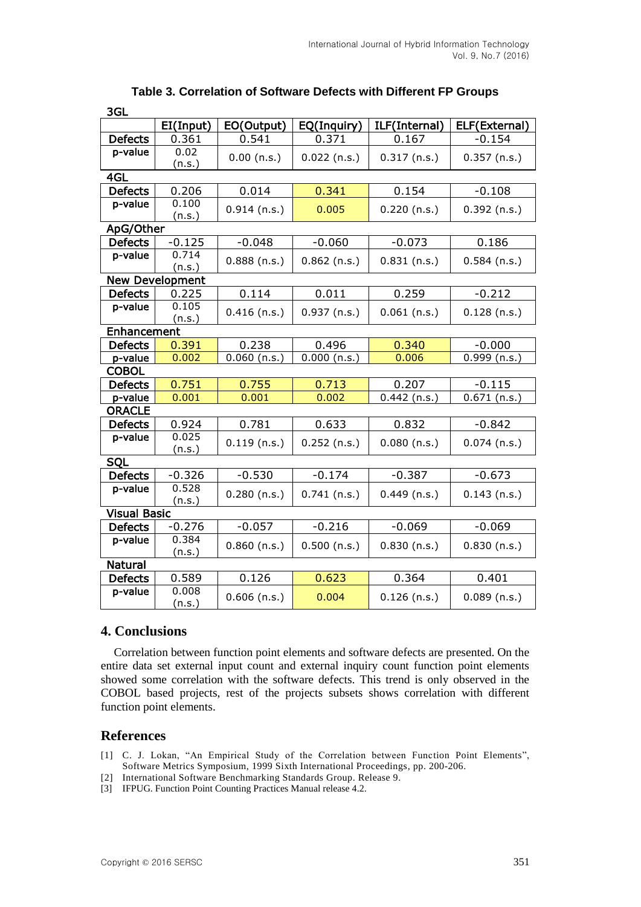| 39L                 |                        |                         |                |                |                |  |  |  |  |
|---------------------|------------------------|-------------------------|----------------|----------------|----------------|--|--|--|--|
|                     | EI(Input)              | EO(Output)              | EQ(Inquiry)    | ILF(Internal)  | ELF(External)  |  |  |  |  |
| <b>Defects</b>      | 0.361                  | 0.541                   | 0.371          | 0.167          | $-0.154$       |  |  |  |  |
| p-value             | 0.02<br>(n.s.)         | $0.00$ (n.s.)           | $0.022$ (n.s.) | $0.317$ (n.s.) | $0.357$ (n.s.) |  |  |  |  |
| 4GL                 |                        |                         |                |                |                |  |  |  |  |
| <b>Defects</b>      | 0.206                  | 0.014                   | 0.341          | 0.154          | $-0.108$       |  |  |  |  |
| p-value             | 0.100<br>(n.s.)        | $0.914$ (n.s.)<br>0.005 |                | $0.220$ (n.s.) | $0.392$ (n.s.) |  |  |  |  |
|                     | ApG/Other              |                         |                |                |                |  |  |  |  |
| <b>Defects</b>      | $-0.125$               | $-0.048$                | $-0.060$       | $-0.073$       | 0.186          |  |  |  |  |
| p-value             | 0.714<br>(n.s.)        | $0.888$ (n.s.)          | $0.862$ (n.s.) | $0.831$ (n.s.) | $0.584$ (n.s.) |  |  |  |  |
|                     | <b>New Development</b> |                         |                |                |                |  |  |  |  |
| <b>Defects</b>      | 0.225                  | 0.114                   | 0.011          | 0.259          | $-0.212$       |  |  |  |  |
| p-value             | 0.105<br>(n.s.)        | $0.416$ (n.s.)          | $0.937$ (n.s.) | $0.061$ (n.s.) | $0.128$ (n.s.) |  |  |  |  |
|                     | Enhancement            |                         |                |                |                |  |  |  |  |
| <b>Defects</b>      | 0.391                  | 0.238                   | 0.496          | 0.340          | $-0.000$       |  |  |  |  |
| p-value             | 0.002                  | $0.060$ (n.s.)          | $0.000$ (n.s.) | 0.006          | $0.999$ (n.s.) |  |  |  |  |
|                     | <b>COBOL</b>           |                         |                |                |                |  |  |  |  |
| <b>Defects</b>      | 0.751                  | 0.755                   | 0.713          | 0.207          | $-0.115$       |  |  |  |  |
| p-value             | 0.001                  | 0.001                   | 0.002          | $0.442$ (n.s.) | $0.671$ (n.s.) |  |  |  |  |
|                     | <b>ORACLE</b>          |                         |                |                |                |  |  |  |  |
| <b>Defects</b>      | 0.924                  | 0.781                   | 0.633          | 0.832          | $-0.842$       |  |  |  |  |
| p-value             | 0.025<br>(n.s.)        | $0.119$ (n.s.)          | $0.252$ (n.s.) | $0.080$ (n.s.) | $0.074$ (n.s.) |  |  |  |  |
| SQL                 |                        |                         |                |                |                |  |  |  |  |
| <b>Defects</b>      | $-0.326$               | $-0.530$                | $-0.174$       | $-0.387$       | $-0.673$       |  |  |  |  |
| p-value             | 0.528<br>(n.s.)        | $0.280$ (n.s.)          | $0.741$ (n.s.) | $0.449$ (n.s.) | $0.143$ (n.s.) |  |  |  |  |
| <b>Visual Basic</b> |                        |                         |                |                |                |  |  |  |  |
| <b>Defects</b>      | $-0.276$               | $-0.057$                | $-0.216$       | $-0.069$       | $-0.069$       |  |  |  |  |
| p-value             | 0.384<br>(n.s.)        | $0.860$ (n.s.)          | $0.500$ (n.s.) | $0.830$ (n.s.) | $0.830$ (n.s.) |  |  |  |  |
| <b>Natural</b>      |                        |                         |                |                |                |  |  |  |  |
| <b>Defects</b>      | 0.589                  | 0.126                   | 0.623          | 0.364          | 0.401          |  |  |  |  |
| p-value             | 0.008<br>(n.s.)        | $0.606$ (n.s.)          | 0.004          | $0.126$ (n.s.) | $0.089$ (n.s.) |  |  |  |  |

## **Table 3. Correlation of Software Defects with Different FP Groups**

### **4. Conclusions**

 $\sim$ 

Correlation between function point elements and software defects are presented. On the entire data set external input count and external inquiry count function point elements showed some correlation with the software defects. This trend is only observed in the COBOL based projects, rest of the projects subsets shows correlation with different function point elements.

#### **References**

- [1] C. J. Lokan, "An Empirical Study of the Correlation between Function Point Elements", Software Metrics Symposium, 1999 Sixth International Proceedings, pp. 200-206.
- [2] International Software Benchmarking Standards Group. Release 9.
- [3] IFPUG. Function Point Counting Practices Manual release 4.2.